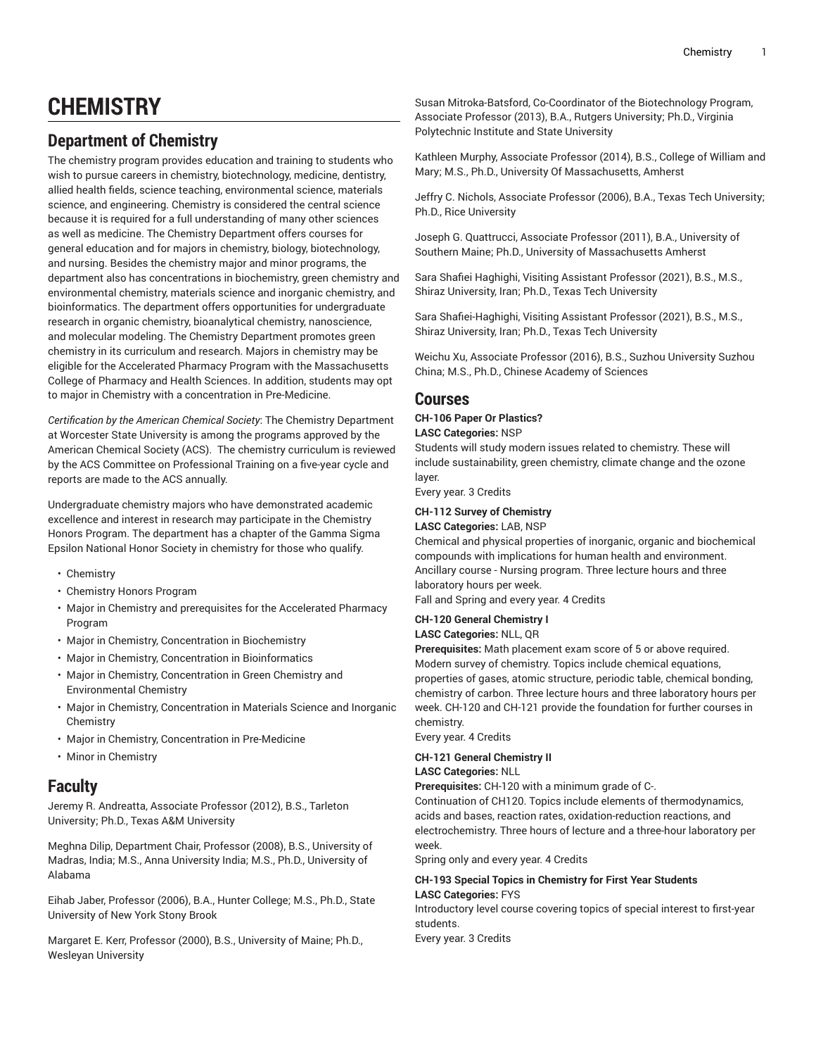# **CHEMISTRY**

# **Department of Chemistry**

The chemistry program provides education and training to students who wish to pursue careers in chemistry, biotechnology, medicine, dentistry, allied health fields, science teaching, environmental science, materials science, and engineering. Chemistry is considered the central science because it is required for a full understanding of many other sciences as well as medicine. The Chemistry Department offers courses for general education and for majors in chemistry, biology, biotechnology, and nursing. Besides the chemistry major and minor programs, the department also has concentrations in biochemistry, green chemistry and environmental chemistry, materials science and inorganic chemistry, and bioinformatics. The department offers opportunities for undergraduate research in organic chemistry, bioanalytical chemistry, nanoscience, and molecular modeling. The Chemistry Department promotes green chemistry in its curriculum and research. Majors in chemistry may be eligible for the Accelerated Pharmacy Program with the Massachusetts College of Pharmacy and Health Sciences. In addition, students may opt to major in Chemistry with a concentration in Pre-Medicine.

*Certification by the American Chemical Society*: The Chemistry Department at Worcester State University is among the programs approved by the American Chemical Society (ACS). The chemistry curriculum is reviewed by the ACS Committee on Professional Training on a five-year cycle and reports are made to the ACS annually.

Undergraduate chemistry majors who have demonstrated academic excellence and interest in research may participate in the Chemistry Honors Program. The department has a chapter of the Gamma Sigma Epsilon National Honor Society in chemistry for those who qualify.

- [Chemistry](http://catalog.worcester.edu/undergraduate/school-education-health-natural-sciences/chemistry/chemistry/)
- [Chemistry](http://catalog.worcester.edu/undergraduate/school-education-health-natural-sciences/chemistry/chemistry-honors-program/) Honors Program
- Major in Chemistry and [prerequisites](http://catalog.worcester.edu/undergraduate/school-education-health-natural-sciences/chemistry/major-chemistry-accelerated-pharmacy-program/) for the Accelerated Pharmacy [Program](http://catalog.worcester.edu/undergraduate/school-education-health-natural-sciences/chemistry/major-chemistry-accelerated-pharmacy-program/)
- Major in Chemistry, [Concentration](http://catalog.worcester.edu/undergraduate/school-education-health-natural-sciences/chemistry/major-chemistry-concentration-biochemistry/) in Biochemistry
- Major in Chemistry, Concentration in [Bioinformatics](http://catalog.worcester.edu/undergraduate/school-education-health-natural-sciences/chemistry/major-chemistry-concentration-bioinformatics/)
- Major in Chemistry, [Concentration](http://catalog.worcester.edu/undergraduate/school-education-health-natural-sciences/chemistry/major-chemistry-concentration-green-environmental-chemistry/) in Green Chemistry and [Environmental](http://catalog.worcester.edu/undergraduate/school-education-health-natural-sciences/chemistry/major-chemistry-concentration-green-environmental-chemistry/) Chemistry
- Major in Chemistry, [Concentration](http://catalog.worcester.edu/undergraduate/school-education-health-natural-sciences/chemistry/major-chemistry-concentration-materials-science-inorganic-chemistry/) in Materials Science and Inorganic **[Chemistry](http://catalog.worcester.edu/undergraduate/school-education-health-natural-sciences/chemistry/major-chemistry-concentration-materials-science-inorganic-chemistry/)**
- Major in Chemistry, [Concentration](http://catalog.worcester.edu/undergraduate/school-education-health-natural-sciences/chemistry/major-chemistry-concentration-pre-medicine/) in Pre-Medicine
- Minor in [Chemistry](http://catalog.worcester.edu/undergraduate/school-education-health-natural-sciences/chemistry/minor/)

# **Faculty**

Jeremy R. Andreatta, Associate Professor (2012), B.S., Tarleton University; Ph.D., Texas A&M University

Meghna Dilip, Department Chair, Professor (2008), B.S., University of Madras, India; M.S., Anna University India; M.S., Ph.D., University of Alabama

Eihab Jaber, Professor (2006), B.A., Hunter College; M.S., Ph.D., State University of New York Stony Brook

Margaret E. Kerr, Professor (2000), B.S., University of Maine; Ph.D., Wesleyan University

Susan Mitroka-Batsford, Co-Coordinator of the Biotechnology Program, Associate Professor (2013), B.A., Rutgers University; Ph.D., Virginia Polytechnic Institute and State University

Kathleen Murphy, Associate Professor (2014), B.S., College of William and Mary; M.S., Ph.D., University Of Massachusetts, Amherst

Jeffry C. Nichols, Associate Professor (2006), B.A., Texas Tech University; Ph.D., Rice University

Joseph G. Quattrucci, Associate Professor (2011), B.A., University of Southern Maine; Ph.D., University of Massachusetts Amherst

Sara Shafiei Haghighi, Visiting Assistant Professor (2021), B.S., M.S., Shiraz University, Iran; Ph.D., Texas Tech University

Sara Shafiei-Haghighi, Visiting Assistant Professor (2021), B.S., M.S., Shiraz University, Iran; Ph.D., Texas Tech University

Weichu Xu, Associate Professor (2016), B.S., Suzhou University Suzhou China; M.S., Ph.D., Chinese Academy of Sciences

### **Courses**

### **CH-106 Paper Or Plastics?**

**LASC Categories:** NSP

Students will study modern issues related to chemistry. These will include sustainability, green chemistry, climate change and the ozone layer.

Every year. 3 Credits

## **CH-112 Survey of Chemistry**

**LASC Categories:** LAB, NSP

Chemical and physical properties of inorganic, organic and biochemical compounds with implications for human health and environment. Ancillary course - Nursing program. Three lecture hours and three laboratory hours per week.

Fall and Spring and every year. 4 Credits

#### **CH-120 General Chemistry I LASC Categories:** NLL, QR

**Prerequisites:** Math placement exam score of 5 or above required. Modern survey of chemistry. Topics include chemical equations, properties of gases, atomic structure, periodic table, chemical bonding, chemistry of carbon. Three lecture hours and three laboratory hours per week. CH-120 and CH-121 provide the foundation for further courses in chemistry.

Every year. 4 Credits

#### **CH-121 General Chemistry II**

#### **LASC Categories:** NLL

**Prerequisites:** CH-120 with a minimum grade of C-.

Continuation of CH120. Topics include elements of thermodynamics, acids and bases, reaction rates, oxidation-reduction reactions, and electrochemistry. Three hours of lecture and a three-hour laboratory per week.

Spring only and every year. 4 Credits

#### **CH-193 Special Topics in Chemistry for First Year Students LASC Categories:** FYS

Introductory level course covering topics of special interest to first-year students.

Every year. 3 Credits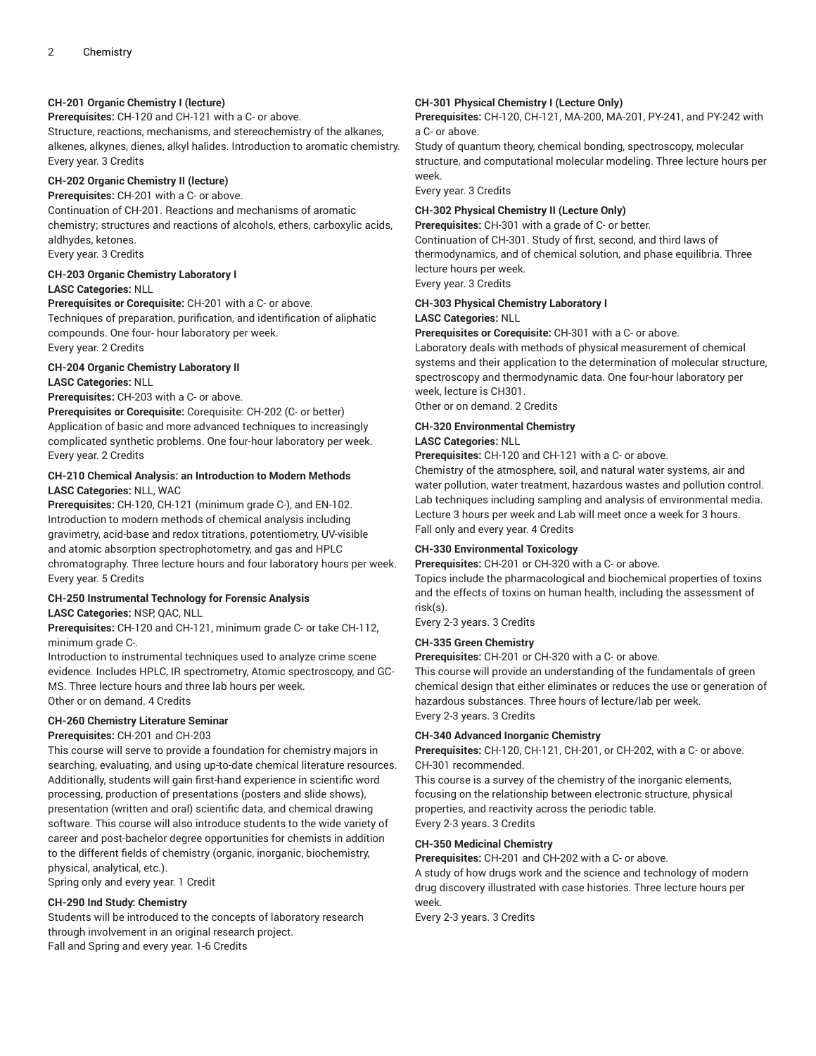#### **CH-201 Organic Chemistry I (lecture)**

**Prerequisites:** CH-120 and CH-121 with a C- or above. Structure, reactions, mechanisms, and stereochemistry of the alkanes, alkenes, alkynes, dienes, alkyl halides. Introduction to aromatic chemistry. Every year. 3 Credits

#### **CH-202 Organic Chemistry II (lecture)**

**Prerequisites:** CH-201 with a C- or above.

Continuation of CH-201. Reactions and mechanisms of aromatic chemistry; structures and reactions of alcohols, ethers, carboxylic acids, aldhydes, ketones. Every year. 3 Credits

# **CH-203 Organic Chemistry Laboratory I**

#### **LASC Categories:** NLL

**Prerequisites or Corequisite:** CH-201 with a C- or above. Techniques of preparation, purification, and identification of aliphatic compounds. One four- hour laboratory per week. Every year. 2 Credits

#### **CH-204 Organic Chemistry Laboratory II LASC Categories:** NLL

#### **Prerequisites:** CH-203 with a C- or above.

**Prerequisites or Corequisite:** Corequisite: CH-202 (C- or better) Application of basic and more advanced techniques to increasingly complicated synthetic problems. One four-hour laboratory per week. Every year. 2 Credits

#### **CH-210 Chemical Analysis: an Introduction to Modern Methods LASC Categories:** NLL, WAC

**Prerequisites:** CH-120, CH-121 (minimum grade C-), and EN-102. Introduction to modern methods of chemical analysis including gravimetry, acid-base and redox titrations, potentiometry, UV-visible and atomic absorption spectrophotometry, and gas and HPLC chromatography. Three lecture hours and four laboratory hours per week. Every year. 5 Credits

# **CH-250 Instrumental Technology for Forensic Analysis**

**LASC Categories:** NSP, QAC, NLL

**Prerequisites:** CH-120 and CH-121, minimum grade C- or take CH-112, minimum grade C-.

Introduction to instrumental techniques used to analyze crime scene evidence. Includes HPLC, IR spectrometry, Atomic spectroscopy, and GC-MS. Three lecture hours and three lab hours per week. Other or on demand. 4 Credits

#### **CH-260 Chemistry Literature Seminar**

**Prerequisites:** CH-201 and CH-203

This course will serve to provide a foundation for chemistry majors in searching, evaluating, and using up-to-date chemical literature resources. Additionally, students will gain first-hand experience in scientific word processing, production of presentations (posters and slide shows), presentation (written and oral) scientific data, and chemical drawing software. This course will also introduce students to the wide variety of career and post-bachelor degree opportunities for chemists in addition to the different fields of chemistry (organic, inorganic, biochemistry, physical, analytical, etc.).

Spring only and every year. 1 Credit

#### **CH-290 Ind Study: Chemistry**

Students will be introduced to the concepts of laboratory research through involvement in an original research project. Fall and Spring and every year. 1-6 Credits

#### **CH-301 Physical Chemistry I (Lecture Only)**

**Prerequisites:** CH-120, CH-121, MA-200, MA-201, PY-241, and PY-242 with a C- or above.

Study of quantum theory, chemical bonding, spectroscopy, molecular structure, and computational molecular modeling. Three lecture hours per week.

Every year. 3 Credits

#### **CH-302 Physical Chemistry II (Lecture Only)**

**Prerequisites:** CH-301 with a grade of C- or better. Continuation of CH-301. Study of first, second, and third laws of thermodynamics, and of chemical solution, and phase equilibria. Three lecture hours per week.

Every year. 3 Credits

#### **CH-303 Physical Chemistry Laboratory I LASC Categories:** NLL

**Prerequisites or Corequisite:** CH-301 with a C- or above.

Laboratory deals with methods of physical measurement of chemical systems and their application to the determination of molecular structure, spectroscopy and thermodynamic data. One four-hour laboratory per week, lecture is CH301.

Other or on demand. 2 Credits

#### **CH-320 Environmental Chemistry**

#### **LASC Categories:** NLL

**Prerequisites:** CH-120 and CH-121 with a C- or above.

Chemistry of the atmosphere, soil, and natural water systems, air and water pollution, water treatment, hazardous wastes and pollution control. Lab techniques including sampling and analysis of environmental media. Lecture 3 hours per week and Lab will meet once a week for 3 hours. Fall only and every year. 4 Credits

#### **CH-330 Environmental Toxicology**

**Prerequisites:** CH-201 or CH-320 with a C- or above.

Topics include the pharmacological and biochemical properties of toxins and the effects of toxins on human health, including the assessment of risk(s).

Every 2-3 years. 3 Credits

#### **CH-335 Green Chemistry**

**Prerequisites:** CH-201 or CH-320 with a C- or above.

This course will provide an understanding of the fundamentals of green chemical design that either eliminates or reduces the use or generation of hazardous substances. Three hours of lecture/lab per week. Every 2-3 years. 3 Credits

#### **CH-340 Advanced Inorganic Chemistry**

**Prerequisites:** CH-120, CH-121, CH-201, or CH-202, with a C- or above. CH-301 recommended.

This course is a survey of the chemistry of the inorganic elements, focusing on the relationship between electronic structure, physical properties, and reactivity across the periodic table. Every 2-3 years. 3 Credits

#### **CH-350 Medicinal Chemistry**

**Prerequisites:** CH-201 and CH-202 with a C- or above.

A study of how drugs work and the science and technology of modern drug discovery illustrated with case histories. Three lecture hours per week.

Every 2-3 years. 3 Credits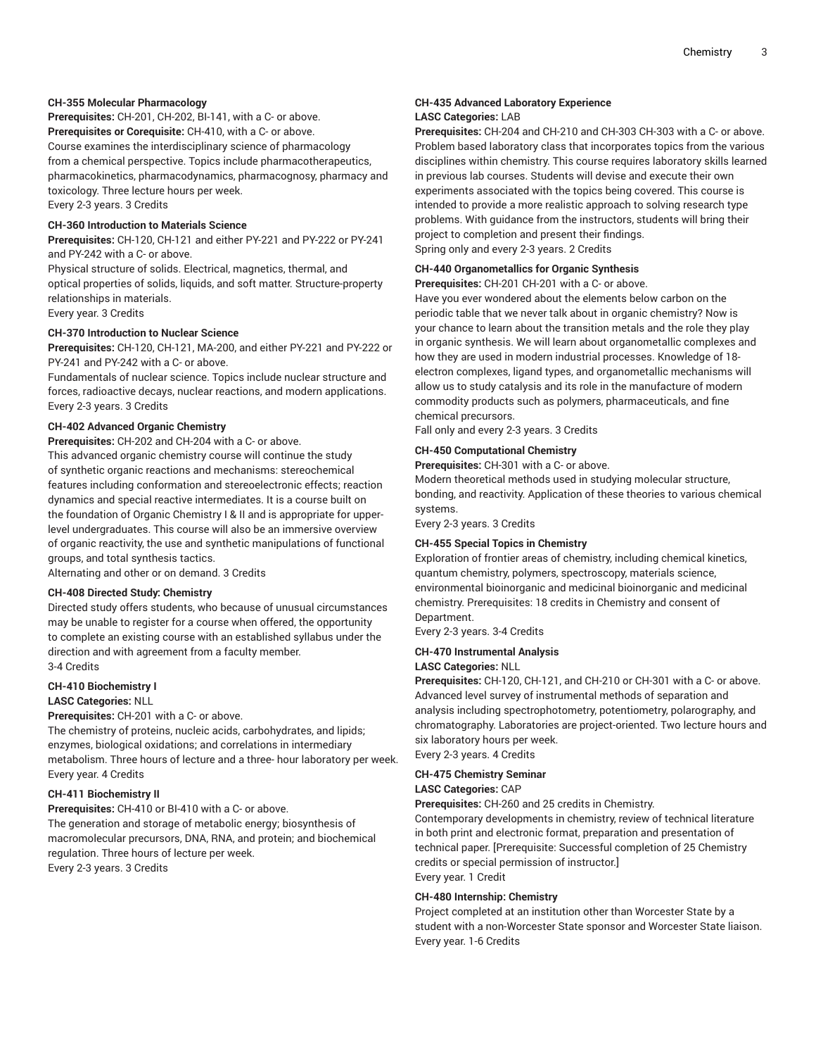#### **CH-355 Molecular Pharmacology**

**Prerequisites:** CH-201, CH-202, BI-141, with a C- or above. **Prerequisites or Corequisite:** CH-410, with a C- or above. Course examines the interdisciplinary science of pharmacology from a chemical perspective. Topics include pharmacotherapeutics, pharmacokinetics, pharmacodynamics, pharmacognosy, pharmacy and toxicology. Three lecture hours per week.

Every 2-3 years. 3 Credits

#### **CH-360 Introduction to Materials Science**

**Prerequisites:** CH-120, CH-121 and either PY-221 and PY-222 or PY-241 and PY-242 with a C- or above.

Physical structure of solids. Electrical, magnetics, thermal, and optical properties of solids, liquids, and soft matter. Structure-property relationships in materials.

Every year. 3 Credits

#### **CH-370 Introduction to Nuclear Science**

**Prerequisites:** CH-120, CH-121, MA-200, and either PY-221 and PY-222 or PY-241 and PY-242 with a C- or above.

Fundamentals of nuclear science. Topics include nuclear structure and forces, radioactive decays, nuclear reactions, and modern applications. Every 2-3 years. 3 Credits

#### **CH-402 Advanced Organic Chemistry**

**Prerequisites:** CH-202 and CH-204 with a C- or above.

This advanced organic chemistry course will continue the study of synthetic organic reactions and mechanisms: stereochemical features including conformation and stereoelectronic effects; reaction dynamics and special reactive intermediates. It is a course built on the foundation of Organic Chemistry I & II and is appropriate for upperlevel undergraduates. This course will also be an immersive overview of organic reactivity, the use and synthetic manipulations of functional groups, and total synthesis tactics.

Alternating and other or on demand. 3 Credits

#### **CH-408 Directed Study: Chemistry**

Directed study offers students, who because of unusual circumstances may be unable to register for a course when offered, the opportunity to complete an existing course with an established syllabus under the direction and with agreement from a faculty member. 3-4 Credits

#### **CH-410 Biochemistry I**

#### **LASC Categories:** NLL

**Prerequisites:** CH-201 with a C- or above.

The chemistry of proteins, nucleic acids, carbohydrates, and lipids; enzymes, biological oxidations; and correlations in intermediary metabolism. Three hours of lecture and a three- hour laboratory per week. Every year. 4 Credits

#### **CH-411 Biochemistry II**

**Prerequisites:** CH-410 or BI-410 with a C- or above. The generation and storage of metabolic energy; biosynthesis of macromolecular precursors, DNA, RNA, and protein; and biochemical regulation. Three hours of lecture per week. Every 2-3 years. 3 Credits

#### **CH-435 Advanced Laboratory Experience LASC Categories:** LAB

**Prerequisites:** CH-204 and CH-210 and CH-303 CH-303 with a C- or above. Problem based laboratory class that incorporates topics from the various disciplines within chemistry. This course requires laboratory skills learned in previous lab courses. Students will devise and execute their own experiments associated with the topics being covered. This course is intended to provide a more realistic approach to solving research type problems. With guidance from the instructors, students will bring their project to completion and present their findings. Spring only and every 2-3 years. 2 Credits

**CH-440 Organometallics for Organic Synthesis**

**Prerequisites:** CH-201 CH-201 with a C- or above.

Have you ever wondered about the elements below carbon on the periodic table that we never talk about in organic chemistry? Now is your chance to learn about the transition metals and the role they play in organic synthesis. We will learn about organometallic complexes and how they are used in modern industrial processes. Knowledge of 18 electron complexes, ligand types, and organometallic mechanisms will allow us to study catalysis and its role in the manufacture of modern commodity products such as polymers, pharmaceuticals, and fine chemical precursors.

Fall only and every 2-3 years. 3 Credits

#### **CH-450 Computational Chemistry**

**Prerequisites:** CH-301 with a C- or above.

Modern theoretical methods used in studying molecular structure, bonding, and reactivity. Application of these theories to various chemical systems.

Every 2-3 years. 3 Credits

#### **CH-455 Special Topics in Chemistry**

Exploration of frontier areas of chemistry, including chemical kinetics, quantum chemistry, polymers, spectroscopy, materials science, environmental bioinorganic and medicinal bioinorganic and medicinal chemistry. Prerequisites: 18 credits in Chemistry and consent of Department.

Every 2-3 years. 3-4 Credits

#### **CH-470 Instrumental Analysis**

#### **LASC Categories:** NLL

**Prerequisites:** CH-120, CH-121, and CH-210 or CH-301 with a C- or above. Advanced level survey of instrumental methods of separation and analysis including spectrophotometry, potentiometry, polarography, and chromatography. Laboratories are project-oriented. Two lecture hours and six laboratory hours per week.

Every 2-3 years. 4 Credits

#### **CH-475 Chemistry Seminar LASC Categories:** CAP

**Prerequisites:** CH-260 and 25 credits in Chemistry.

Contemporary developments in chemistry, review of technical literature in both print and electronic format, preparation and presentation of technical paper. [Prerequisite: Successful completion of 25 Chemistry credits or special permission of instructor.] Every year. 1 Credit

#### **CH-480 Internship: Chemistry**

Project completed at an institution other than Worcester State by a student with a non-Worcester State sponsor and Worcester State liaison. Every year. 1-6 Credits